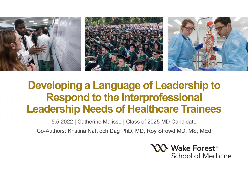

#### **Developing a Language of Leadership to Respond to the Interprofessional Leadership Needs of Healthcare Trainees**

5.5.2022 | Catherine Malisse | Class of 2025 MD Candidate

Co-Authors: Kristina Natt och Dag PhD, MD, Roy Strowd MD, MS, MEd

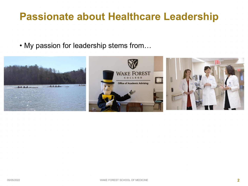#### **Passionate about Healthcare Leadership**

#### • My passion for leadership stems from…

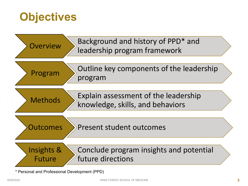## **Objectives**



\* Personal and Professional Development (PPD)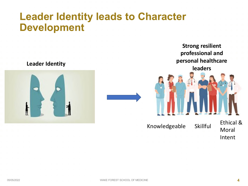#### **Leader Identity leads to Character Development**

**Leader Identity** 



**Strong resilient professional and personal healthcare leaders**

Knowledgeable Skillful Ethical &

Moral Intent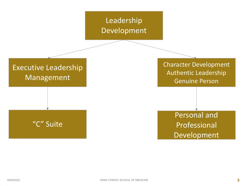#### Leadership Development

#### Executive Leadership Management

"C" Suite

Character Development Authentic Leadership Genuine Person

> Personal and Professional Development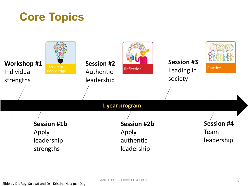## **Core Topics**

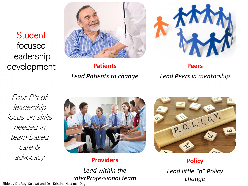**Student** focused leadership development



**Patients** *Lead Patients to change*



**Peers** *Lead Peers in mentorship*

Four P's of leadership focus on skills needed in team-based care & advocacy



**Providers**

*Lead within the interProfessional team*



**Policy** *Lead little "p" Policy change*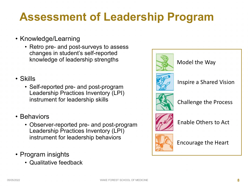# **Assessment of Leadership Program**

#### • Knowledge/Learning

• Retro pre- and post-surveys to assess changes in student's self-reported knowledge of leadership strengths

#### • Skills

- Self-reported pre- and post-program Leadership Practices Inventory (LPI) instrument for leadership skills
- Behaviors
	- Observer-reported pre- and post-program Leadership Practices Inventory (LPI) instrument for leadership behaviors
- Program insights
	- Qualitative feedback



Model the Way



Inspire a Shared Vision



Challenge the Process



Enable Others to Act



Encourage the Heart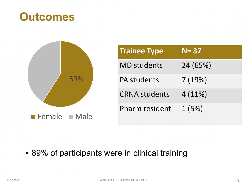#### **Outcomes**



| <b>Trainee Type</b>  | $N = 37$ |
|----------------------|----------|
| <b>MD</b> students   | 24 (65%) |
| PA students          | 7(19%)   |
| <b>CRNA</b> students | 4(11%)   |
| Pharm resident       | 1(5%)    |

• 89% of participants were in clinical training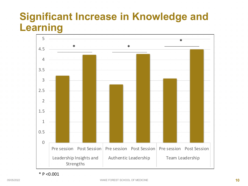#### **Significant Increase in Knowledge and Learning**

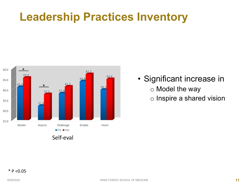### **Leadership Practices Inventory**



• Significant increase in o Model the way o Inspire a shared vision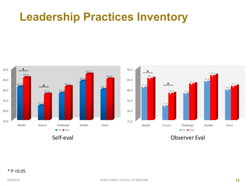### **Leadership Practices Inventory**





Self-eval Observer Eval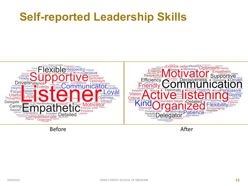### **Self-reported Leadership Skills**



Before After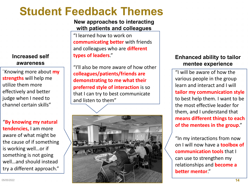### **Student Feedback Themes**

#### **New approaches to interacting with patients and colleagues**

"I learned how to work on **communicating better** with friends and colleagues who are **different types of leaders**."

"I'll also be more aware of how other **colleagues/patients/friends are demonstrating to me what their preferred style of interaction** is so that I can try to best communicate and listen to them"



#### **Enhanced ability to tailor mentee experience**

"I will be aware of how the various people in the group learn and interact and I will **tailor my communication style**  to best help them. I want to be the most effective leader for them, and I understand that **means different things to each of the mentees in the group**."

"In my interactions from now on I will now have a **toolbox of communication tools** that I can use to strengthen my relationships and **become a better mentor**."

#### **Increased self awareness**

"Knowing more about **my strengths** will help me utilize them more effectively and better judge when I need to channel certain skills"

"**By knowing my natural tendencies,** I am more aware of what might be the cause of if something is working well…or if something is not going well…and should instead try a different approach."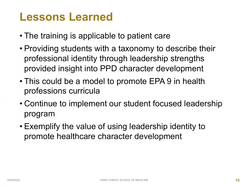#### **Lessons Learned**

- The training is applicable to patient care
- Providing students with a taxonomy to describe their professional identity through leadership strengths provided insight into PPD character development
- This could be a model to promote EPA 9 in health professions curricula
- Continue to implement our student focused leadership program
- Exemplify the value of using leadership identity to promote healthcare character development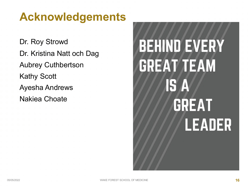## **Acknowledgements**

Dr. Roy Strowd Dr. Kristina Natt och Dag Aubrey Cuthbertson Kathy Scott Ayesha Andrews Nakiea Choate

# **BEHIND EVERY GREAT TEAM** 8 **A GREAT** LEADER